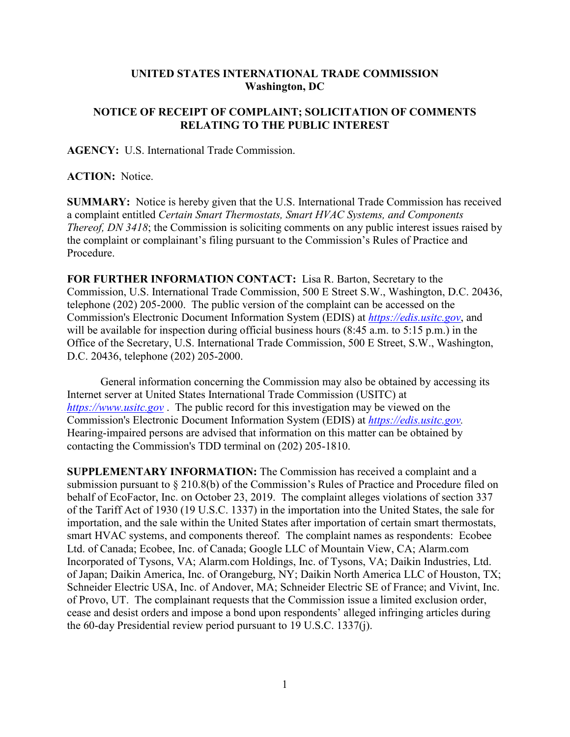## **UNITED STATES INTERNATIONAL TRADE COMMISSION Washington, DC**

## **NOTICE OF RECEIPT OF COMPLAINT; SOLICITATION OF COMMENTS RELATING TO THE PUBLIC INTEREST**

**AGENCY:** U.S. International Trade Commission.

**ACTION:** Notice.

**SUMMARY:** Notice is hereby given that the U.S. International Trade Commission has received a complaint entitled *Certain Smart Thermostats, Smart HVAC Systems, and Components Thereof, DN 3418*; the Commission is soliciting comments on any public interest issues raised by the complaint or complainant's filing pursuant to the Commission's Rules of Practice and Procedure.

**FOR FURTHER INFORMATION CONTACT:** Lisa R. Barton, Secretary to the Commission, U.S. International Trade Commission, 500 E Street S.W., Washington, D.C. 20436, telephone (202) 205-2000. The public version of the complaint can be accessed on the Commission's Electronic Document Information System (EDIS) at *[https://edis.usitc.gov](https://edis.usitc.gov/)*, and will be available for inspection during official business hours (8:45 a.m. to 5:15 p.m.) in the Office of the Secretary, U.S. International Trade Commission, 500 E Street, S.W., Washington, D.C. 20436, telephone (202) 205-2000.

General information concerning the Commission may also be obtained by accessing its Internet server at United States International Trade Commission (USITC) at *[https://www.usitc.gov](https://www.usitc.gov/)* . The public record for this investigation may be viewed on the Commission's Electronic Document Information System (EDIS) at *[https://edis.usitc.gov.](https://edis.usitc.gov/)* Hearing-impaired persons are advised that information on this matter can be obtained by contacting the Commission's TDD terminal on (202) 205-1810.

**SUPPLEMENTARY INFORMATION:** The Commission has received a complaint and a submission pursuant to § 210.8(b) of the Commission's Rules of Practice and Procedure filed on behalf of EcoFactor, Inc. on October 23, 2019. The complaint alleges violations of section 337 of the Tariff Act of 1930 (19 U.S.C. 1337) in the importation into the United States, the sale for importation, and the sale within the United States after importation of certain smart thermostats, smart HVAC systems, and components thereof. The complaint names as respondents: Ecobee Ltd. of Canada; Ecobee, Inc. of Canada; Google LLC of Mountain View, CA; Alarm.com Incorporated of Tysons, VA; Alarm.com Holdings, Inc. of Tysons, VA; Daikin Industries, Ltd. of Japan; Daikin America, Inc. of Orangeburg, NY; Daikin North America LLC of Houston, TX; Schneider Electric USA, Inc. of Andover, MA; Schneider Electric SE of France; and Vivint, Inc. of Provo, UT. The complainant requests that the Commission issue a limited exclusion order, cease and desist orders and impose a bond upon respondents' alleged infringing articles during the 60-day Presidential review period pursuant to 19 U.S.C. 1337(j).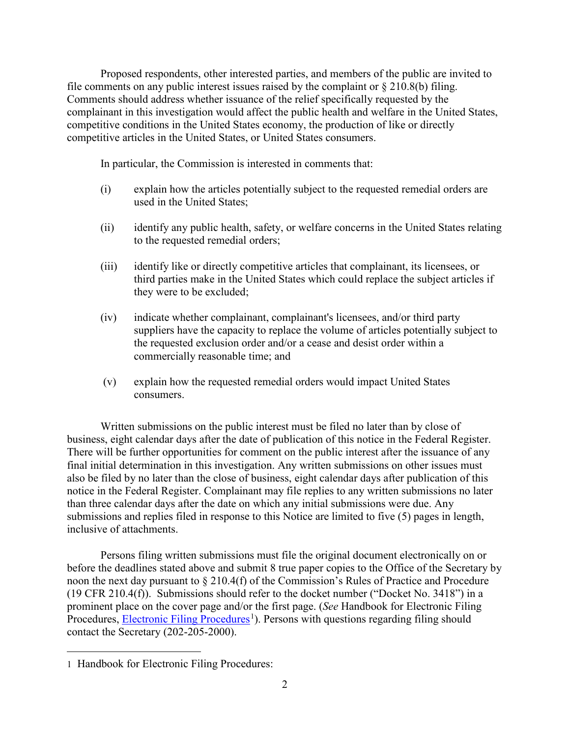Proposed respondents, other interested parties, and members of the public are invited to file comments on any public interest issues raised by the complaint or  $\S 210.8(b)$  filing. Comments should address whether issuance of the relief specifically requested by the complainant in this investigation would affect the public health and welfare in the United States, competitive conditions in the United States economy, the production of like or directly competitive articles in the United States, or United States consumers.

In particular, the Commission is interested in comments that:

- (i) explain how the articles potentially subject to the requested remedial orders are used in the United States;
- (ii) identify any public health, safety, or welfare concerns in the United States relating to the requested remedial orders;
- (iii) identify like or directly competitive articles that complainant, its licensees, or third parties make in the United States which could replace the subject articles if they were to be excluded;
- (iv) indicate whether complainant, complainant's licensees, and/or third party suppliers have the capacity to replace the volume of articles potentially subject to the requested exclusion order and/or a cease and desist order within a commercially reasonable time; and
- (v) explain how the requested remedial orders would impact United States consumers.

Written submissions on the public interest must be filed no later than by close of business, eight calendar days after the date of publication of this notice in the Federal Register. There will be further opportunities for comment on the public interest after the issuance of any final initial determination in this investigation. Any written submissions on other issues must also be filed by no later than the close of business, eight calendar days after publication of this notice in the Federal Register. Complainant may file replies to any written submissions no later than three calendar days after the date on which any initial submissions were due. Any submissions and replies filed in response to this Notice are limited to five (5) pages in length, inclusive of attachments.

Persons filing written submissions must file the original document electronically on or before the deadlines stated above and submit 8 true paper copies to the Office of the Secretary by noon the next day pursuant to § 210.4(f) of the Commission's Rules of Practice and Procedure (19 CFR 210.4(f)). Submissions should refer to the docket number ("Docket No. 3418") in a prominent place on the cover page and/or the first page. (*See* Handbook for Electronic Filing Procedures, **Electronic Filing Procedures**<sup>[1](#page-1-0)</sup>). Persons with questions regarding filing should contact the Secretary (202-205-2000).

<span id="page-1-0"></span> $\overline{a}$ 1 Handbook for Electronic Filing Procedures: